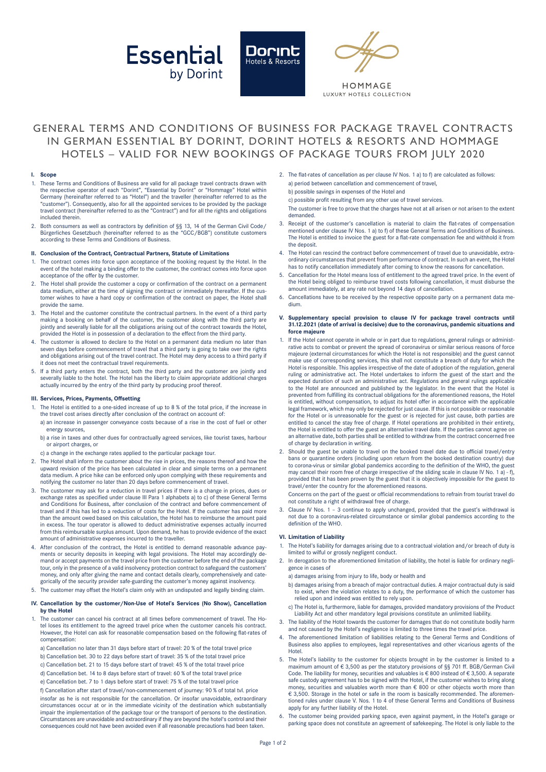





HOMMAGE **ILIXURY HOTELS COLLECTION** 

# GENERAL TERMS AND CONDITIONS OF BUSINESS FOR PACKAGE TRAVEL CONTRACTS IN GERMAN ESSENTIAL BY DORINT, DORINT HOTELS & RESORTS AND HOMMAGE HOTELS – VALID FOR NEW BOOKINGS OF PACKAGE TOURS FROM JULY 2020

#### **I. Scope**

- 1. These Terms and Conditions of Business are valid for all package travel contracts drawn with<br>the respective operator of each "Dorint", "Essential by Dorint" or "Hommage" Hotel within<br>Germany (hereinafter referred to as "customer"). Consequently, also for all the appointed services to be provided by the package travel contract (hereinafter referred to as the "Contract") and for all the rights and obligations included therein.
- 2. Both consumers as well as contractors by definition of §§ 13, 14 of the German Civil Code/ Bürgerliches Gesetzbuch (hereinafter referred to as the "GCC/BGB") constitute customers according to these Terms and Conditions of Business.

## **II. Conclusion of the Contract, Contractual Partners, Statute of Limitations**

- The contract comes into force upon acceptance of the booking request by the Hotel. In the event of the hotel making a binding offer to the customer, the contract comes into force upon acceptance of the offer by the customer.
- 2. The Hotel shall provide the customer a copy or confirmation of the contract on a permanent data medium, either at the time of signing the contract or immediately thereafter. If the customer wishes to have a hard copy or confirmation of the contract on paper, the Hotel shall provide the same.
- The Hotel and the customer constitute the contractual partners. In the event of a third party making a booking on behalf of the customer, the customer along with the third party are jointly and severally liable for all the obligations arising out of the contract towards the Hotel, provided the Hotel is in possession of a declaration to the effect from the third party.
- 4. The customer is allowed to declare to the Hotel on a permanent data medium no later than seven days before commencement of travel that a third party is going to take over the rights and obligations arising out of the travel contract. The Hotel may deny access to a third party if it does not meet the contractual travel requirements.
- 5. If a third party enters the contract, both the third party and the customer are jointly and severally liable to the hotel. The Hotel has the liberty to claim appropriate additional charges actually incurred by the entry of the third party by producing proof thereof.

#### **III. Services, Prices, Payments, Offsetting**

- 1. The Hotel is entitled to a one-sided increase of up to 8 % of the total price, if the increase in the travel cost arises directly after conclusion of the contract on account of:
	- a) an increase in passenger conveyance costs because of a rise in the cost of fuel or other energy sources,
	- b) a rise in taxes and other dues for contractually agreed services, like tourist taxes, harbour or airport charges, or
- c) a change in the exchange rates applied to the particular package tour.
- 2. The Hotel shall inform the customer about the rise in prices, the reasons thereof and how the upward revision of the price has been calculated in clear and simple terms on a permanent data medium. A price hike can be enforced only upon complying with these requirements and notifying the customer no later than 20 days before commencement of travel.
- 3. The customer may ask for a reduction in travel prices if there is a change in prices, dues or exchange rates as specified under clause III Para 1 alphabets a) to c) of these General Terms and Conditions for Business, after conclusion of the contract and before commencement of travel and if this has led to a reduction of costs for the Hotel. If the customer has paid more than the amount owed based on this calculation, the Hotel has to reimburse the amount paid in excess. The tour operator is allowed to deduct administrative expenses actually incurred from this reimbursable surplus amount. Upon demand, he has to provide evidence of the exact amount of administrative expenses incurred to the traveller.
- 4. After conclusion of the contract, the Hotel is entitled to demand reasonable advance payments or security deposits in keeping with legal provisions. The Hotel may accordingly de-mand or accept payments on the travel price from the customer before the end of the package tour, only in the presence of a valid insolvency protection contract to safeguard the customers' money, and only after giving the name and contact details clearly, comprehensively and categorically of the security provider safe-guarding the customer's money against insolvency.
- 5. The customer may offset the Hotel's claim only with an undisputed and legally binding claim.

#### **IV. Cancellation by the customer/Non-Use of Hotel's Services (No Show), Cancellation by the Hotel**

- 1. The customer can cancel his contract at all times before commencement of travel. The Hotel loses its entitlement to the agreed travel price when the customer cancels his contract. However, the Hotel can ask for reasonable compensation based on the following flat-rates of compensation:
	- a) Cancellation no later than 31 days before start of travel: 20 % of the total travel price
	- b) Cancellation bet. 30 to 22 days before start of travel: 35 % of the total travel price
	- c) Cancellation bet. 21 to 15 days before start of travel: 45 % of the total travel price
	- d) Cancellation bet. 14 to 8 days before start of travel: 60 % of the total travel price
	- e) Cancellation bet. 7 to 1 days before start of travel: 75 % of the total travel price
	- f) Cancellation after start of travel/non-commencement of journey: 90 % of total tvl. price insofar as he is not responsible for the cancellation. Or insofar unavoidable, extraordinary circumstances occur at or in the immediate vicinity of the destination which substantially impair the implementation of the package tour or the transport of persons to the destination. Circumstances are unavoidable and extraordinary if they are beyond the hotel's control and their consequences could not have been avoided even if all reasonable precautions had been taken.
- 2. The flat-rates of cancellation as per clause IV Nos. 1 a) to f) are calculated as follows: a) period between cancellation and commencement of travel,
	- b) possible savings in expenses of the Hotel and
	- c) possible profit resulting from any other use of travel services.
	- The customer is free to prove that the charges have not at all arisen or not arisen to the extent demanded.
- 3. Receipt of the customer's cancellation is material to claim the flat-rates of compensation mentioned under clause IV Nos. 1 a) to f) of these General Terms and Conditions of Business. The Hotel is entitled to invoice the guest for a flat-rate compensation fee and withhold it from the deposit.
- The Hotel can rescind the contract before commencement of travel due to unavoidable, extraordinary circumstances that prevent from performance of contract. In such an event, the Hotel has to notify cancellation immediately after coming to know the reasons for cancellation.
- Cancellation for the Hotel means loss of entitlement to the agreed travel price. In the event of the Hotel being obliged to reimburse travel costs following cancellation, it must disburse the amount immediately, at any rate not beyond 14 days of cancellation.
- 6. Cancellations have to be received by the respective opposite party on a permanent data medium.
- **V. Supplementary special provision to clause IV for package travel contracts until 31.12.2021 (date of arrival is decisive) due to the coronavirus, pandemic situations and force majeure**
- 1. If the Hotel cannot operate in whole or in part due to regulations, general rulings or administrative acts to combat or prevent the spread of coronavirus or similar serious reasons of force majeure (external circumstances for which the Hotel is not responsible) and the guest cannot make use of corresponding services, this shall not constitute a breach of duty for which the Hotel is responsible. This applies irrespective of the date of adoption of the regulation, general ruling or administrative act. The Hotel undertakes to inform the guest of the start and the expected duration of such an administrative act. Regulations and general rulings applicable to the Hotel are announced and published by the legislator. In the event that the Hotel is prevented from fulfilling its contractual obligations for the aforementioned reasons, the Hotel is entitled, without compensation, to adjust its hotel offer in accordance with the applicable legal framework, which may only be rejected for just cause. If this is not possible or reasonable for the Hotel or is unreasonable for the guest or is rejected for just cause, both parties are<br>entitled to cancel the stay free of charge. If Hotel operations are prohibited in their entirety,<br>the Hotel is entitled to offe an alternative date, both parties shall be entitled to withdraw from the contract concerned free of charge by declaration in writing.
- 2. Should the guest be unable to travel on the booked travel date due to official travel/entry bans or quarantine orders (including upon return from the booked destination country) due to corona-virus or similar global pandemics according to the definition of the WHO, the guest may cancel their room free of charge irrespective of the sliding scale in clause IV No. 1 a) - f), provided that it has been proven by the guest that it is objectively impossible for the guest to travel/enter the country for the aforementioned reasons.

Concerns on the part of the guest or official recommendations to refrain from tourist travel do not constitute a right of withdrawal free of charge.

Clause IV Nos. 1 - 3 continue to apply unchanged, provided that the guest's withdrawal is not due to a coronavirus-related circumstance or similar global pandemics according to the definition of the WHO.

#### **VI. Limitation of Liability**

- 1. The Hotel's liability for damages arising due to a contractual violation and/or breach of duty is limited to wilful or grossly negligent conduct.
- 2. In derogation to the aforementioned limitation of liability, the hotel is liable for ordinary negligence in cases of
	- a) damages arising from injury to life, body or health and
	- b) damages arising from a breach of major contractual duties. A major contractual duty is said to exist, when the violation relates to a duty, the performance of which the customer has relied upon and indeed was entitled to rely upon.
- c) The Hotel is, furthermore, liable for damages, provided mandatory provisions of the Product Liability Act and other mandatory legal provisions constitute an unlimited liability.
- 3. The liability of the Hotel towards the customer for damages that do not constitute bodily harm and not caused by the Hotel's negligence is limited to three times the travel price.
- 4. The aforementioned limitation of liabilities relating to the General Terms and Conditions of Business also applies to employees, legal representatives and other vicarious agents of the Hotel.
- 5. The Hotel's liability to the customer for objects brought in by the customer is limited to a maximum amount of € 3,500 as per the statutory provisions of §§ 701 ff. BGB/German Civil Code. The liability for money, securities and valuables is € 800 instead of € 3,500. A separate safe custody agreement has to be signed with the Hotel, if the customer wishes to bring along<br>money, securities and valuables worth more than € 800 or other objects worth more than € 3,500. Storage in the hotel or safe in the room is basically recommended. The aforementioned rules under clause V. Nos. 1 to 4 of these General Terms and Conditions of Business apply for any further liability of the Hotel.
- The customer being provided parking space, even against payment, in the Hotel's garage or parking space does not constitute an agreement of safekeeping. The Hotel is only liable to the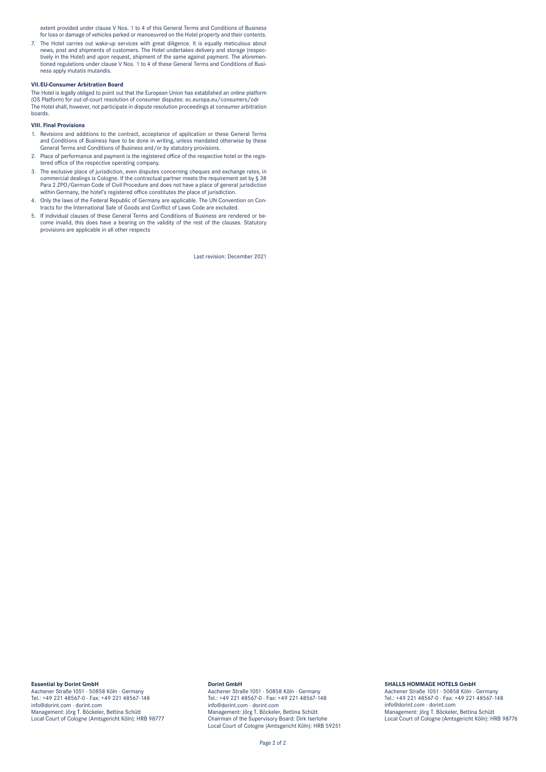extent provided under clause V Nos. 1 to 4 of this General Terms and Conditions of Business for loss or damage of vehicles parked or manoeuvred on the Hotel property and their contents.

7. The Hotel carries out wake-up services with great diligence. It is equally meticulous about news, post and shipments of customers. The Hotel undertakes delivery and storage (respectively in the Hotel) and upon request, shipment of the same against payment. The aforementioned regulations under clause V Nos. 1 to 4 of these General Terms and Conditions of Business apply mutatis mutandis.

# **VII. EU-Consumer Arbitration Board**

The Hotel is legally obliged to point out that the European Union has established an online platform (OS Platform) for out-of-court resolution of consumer disputes: [ec.europa.eu/consumers/odr](http:// ec.europa.eu/consumers/odr ) The Hotel shall, however, not participate in dispute resolution proceedings at consumer arbitration boards.

## **VIII. Final Provisions**

- 1. Revisions and additions to the contract, acceptance of application or these General Terms and Conditions of Business have to be done in writing, unless mandated otherwise by these General Terms and Conditions of Business and/or by statutory provisions.
- 2. Place of performance and payment is the registered office of the respective hotel or the registered office of the respective operating company.
- 3. The exclusive place of jurisdiction, even disputes concerning cheques and exchange rates, in commercial dealings is Cologne. If the contractual partner meets the requirement set by § 38 Para 2 ZPO/German Code of Civil Procedure and does not have a place of general jurisdiction within Germany, the hotel's registered office constitutes the place of jurisdiction.
- 4. Only the laws of the Federal Republic of Germany are applicable. The UN Convention on Contracts for the International Sale of Goods and Conflict of Laws Code are excluded.
- 5. If individual clauses of these General Terms and Conditions of Business are rendered or become invalid, this does have a bearing on the validity of the rest of the clauses. Statutory provisions are applicable in all other respects

Last revision: December 2021

## **Essential by Dorint GmbH**

Aachener Straße1051 · 50858 Köln · Germany Tel.: +49 221 48567-0 · Fax: +49 221 48567-148 info@dorint.com · dorint.com Management: Jörg T. Böckeler, Bettina Schütt Local Court of Cologne (Amtsgericht Köln): HRB 98777

#### **Dorint GmbH**

Aachener Straße1051 · 50858 Köln · Germany Tel.: +49 221 48567-0 · Fax: +49 221 48567-148 info@dorint.com · dorint.com Management: Jörg T. Böckeler, Bettina Schütt Chairman of the Supervisory Board: Dirk Iserlohe Local Court of Cologne (Amtsgericht Köln): HRB 59251

## **5HALLS HOMMAGE HOTELS GmbH**

Aachener Straße 1051 · 50858 Köln · Germany Tel.: +49 221 48567-0 · Fax: +49 221 48567-148 info@dorint.com · dorint.com Management: Jörg T. Böckeler, Bettina Schütt Local Court of Cologne (Amtsgericht Köln): HRB 98776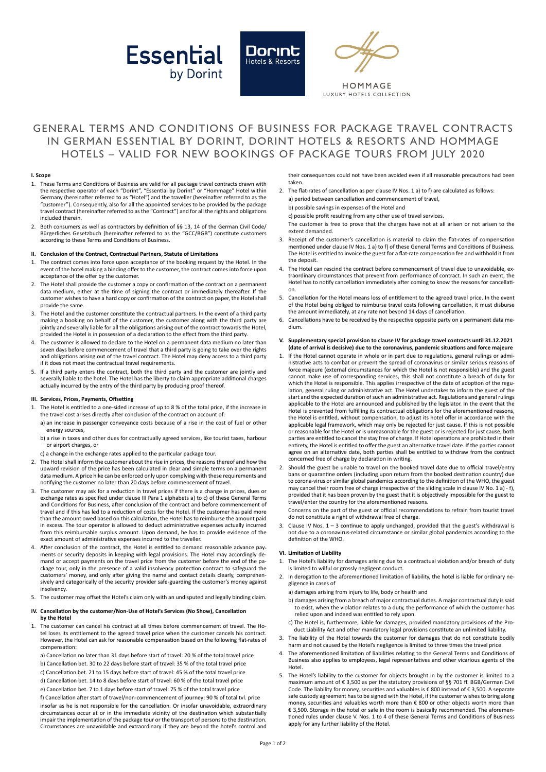





HOMMAGE LUXURY HOTELS COLLECTION

# GENERAL TERMS AND CONDITIONS OF BUSINESS FOR PACKAGE TRAVEL CONTRACTS IN GERMAN ESSENTIAL BY DORINT, DORINT HOTELS & RESORTS AND HOMMAGE HOTELS – VALID FOR NEW BOOKINGS OF PACKAGE TOURS FROM JULY 2020

#### **I. Scope**

- 1. These Terms and Conditions of Business are valid for all package travel contracts drawn with the respective operator of each "Dorint", "Essential by Dorint" or "Hommage" Hotel within Germany (hereinafter referred to as "Hotel") and the traveller (hereinafter referred to as the "customer"). Consequently, also for all the appointed services to be provided by the package travel contract (hereinafter referred to asthe "Contract") and for all the rights and obligations included therein.
- 2. Both consumers as well as contractors by definition of §§ 13, 14 of the German Civil Code/ Bürgerliches Gesetzbuch (hereinafter referred to as the "GCC/BGB") constitute customers according to these Terms and Conditions of Business.

### **II. Conclusion of the Contract, Contractual Partners, Statute of Limitations**

- 1. The contract comes into force upon acceptance of the booking request by the Hotel. In the event of the hotel making a binding offer to the customer, the contract comesinto force upon acceptance of the offer by the customer.
- 2. The Hotel shall provide the customer a copy or confirmation of the contract on a permanent data medium, either at the time of signing the contract or immediately thereafter. If the customer wishes to have a hard copy or confirmation of the contract on paper, the Hotel shall provide the same.
- The Hotel and the customer constitute the contractual partners. In the event of a third party making a booking on behalf of the customer, the customer along with the third party are jointly and severally liable for all the obligations arising out of the contract towards the Hotel, provided the Hotel is in possession of a declaration to the effect from the third party.
- 4. The customer is allowed to declare to the Hotel on a permanent data medium no later than seven days before commencement of travel that a third party is going to take over the rights and obligations arising out of the travel contract. The Hotel may deny access to a third party if it does not meet the contractual travel requirements.
- 5. If a third party enters the contract, both the third party and the customer are jointly and severally liable to the hotel. The Hotel has the liberty to claim appropriate additional charges actually incurred by the entry of the third party by producing proof thereof.

#### **III. Services, Prices, Payments, Offsetting**

- 1. The Hotel is entitled to a one-sided increase of up to 8 % of the total price, if the increase in the travel cost arises directly after conclusion of the contract on account of:
	- a) an increase in passenger conveyance costs because of a rise in the cost of fuel or other energy sources,
	- b) a rise in taxes and other dues for contractually agreed services, like tourist taxes, harbour or airport charges, or
- c) a change in the exchange rates applied to the particular package tour.
- 2. The Hotel shall inform the customer about the rise in prices, the reasons thereof and how the upward revision of the price has been calculated in clear and simple terms on a permanent data medium. A price hike can be enforced only upon complying with these requirements and notifying the customer no later than 20 days before commencement of travel.
- 3. The customer may ask for a reduction in travel prices if there is a change in prices, dues or exchange rates as specified under clause III Para 1 alphabets a) to c) of these General Terms and Conditions for Business, after conclusion of the contract and before commencement of travel and if this has led to a reduction of costs for the Hotel. If the customer has paid more than the amount owed based on this calculation, the Hotel hasto reimburse the amount paid in excess. The tour operator is allowed to deduct administrative expenses actually incurred from this reimbursable surplus amount. Upon demand, he has to provide evidence of the exact amount of administrative expenses incurred to the traveller.
- 4. After conclusion of the contract, the Hotel is entitled to demand reasonable advance pay ments or security deposits in keeping with legal provisions. The Hotel may accordingly demand or accept payments on the travel price from the customer before the end of the package tour, only in the presence of a valid insolvency protection contract to safeguard the customers' money, and only after giving the name and contact details clearly, comprehensively and categorically of the security provider safe-guarding the customer's money against insolvency.
- 5. The customer may offset the Hotel's claim only with an undisputed and legally binding claim.

#### **IV. Cancellation by the customer/Non-Use of Hotel's Services (No Show), Cancellation by the Hotel**

- 1. The customer can cancel his contract at all times before commencement of travel. The Hotel loses its entitlement to the agreed travel price when the customer cancels his contract. However, the Hotel can ask for reasonable compensation based on the following flat-rates of compensation:
	- a) Cancellation no later than 31 days before start of travel: 20 % of the total travel price
	- b) Cancellation bet. 30 to 22 days before start of travel: 35 % of the total travel price
	- c) Cancellation bet. 21 to 15 days before start of travel: 45 % of the total travel price
	- d) Cancellation bet. 14 to 8 days before start of travel: 60 % of the total travel price
	- e) Cancellation bet. 7 to 1 days before start of travel: 75 % of the total travel price

 f) Cancellation after start of travel/non-commencement of journey: 90 % of total tvl. price insofar as he is not responsible for the cancellation. Or insofar unavoidable, extraordinary circumstances occur at or in the immediate vicinity of the destination which substantially impair the implementation of the package tour or the transport of persons to the destination Circumstances are unavoidable and extraordinary if they are beyond the hotel's control and their consequences could not have been avoided even if all reasonable precautions had been taken.

2. The flat-rates of cancellation as per clause IV Nos. 1 a) to f) are calculated as follows: a) period between cancellation and commencement of travel b) possible savings in expenses of the Hotel and c) possible profit resulting from any other use of travel services. The customer is free to prove that the charges have not at all arisen or not arisen to the

extent demanded.

- 3. Receipt of the customer's cancellation is material to claim the flat-rates of compensation mentioned under clause IV Nos. 1 a) to f) of these General Terms and Conditions of Business. The Hotel is entitled to invoice the guest for a flat-rate compensation fee and withhold it from the deposit.
- 4. The Hotel can rescind the contract before commencement of travel due to unavoidable, extraordinary circumstances that prevent from performance of contract. In such an event, the Hotel has to notify cancellation immediately after coming to know the reasons for cancellation.
- 5. Cancellation for the Hotel means loss of entitlement to the agreed travel price. In the event of the Hotel being obliged to reimburse travel costs following cancellation, it must disburse the amount immediately, at any rate not beyond 14 days of cancellation.
- 6. Cancellations have to be received by the respective opposite party on a permanent data medium.

#### **V. Supplementary special provision to clause IV for package travel contracts until 31.12.2021 (date of arrival is decisive) due to the coronavirus, pandemic situations and force majeure**

- 1. If the Hotel cannot operate in whole or in part due to regulations, general rulings or administrative acts to combat or prevent the spread of coronavirus or similar serious reasons of force majeure (external circumstances for which the Hotel is not responsible) and the guest cannot make use of corresponding services, this shall not constitute a breach of duty for which the Hotel is responsible. This applies irrespective of the date of adoption of the regulation, general ruling or administrative act. The Hotel undertakes to inform the guest of the start and the expected duration of such an administrative act. Regulations and general rulings applicable to the Hotel are announced and published by the legislator. In the event that the Hotel is prevented from fulfilling its contractual obligations for the aforementioned reasons, the Hotel is entitled, without compensation, to adjust its hotel offer in accordance with the applicable legal framework, which may only be rejected for just cause. If this is not possible or reasonable for the Hotel or is unreasonable for the guest or is rejected for just cause, both parties are entitled to cancel the stay free of charge. If Hotel operations are prohibited in their entirety, the Hotel is entitled to offer the guest an alternative travel date. If the parties cannot agree on an alternative date, both parties shall be entitled to withdraw from the contract concerned free of charge by declaration in writing.
- 2. Should the guest be unable to travel on the booked travel date due to official travel/entry bans or quarantine orders (including upon return from the booked destination country) due to corona-virus or similar global pandemics according to the definition of the WHO, the guest may cancel their room free of charge irrespective of the sliding scale in clause IV No. 1 a) - f), provided that it has been proven by the guest that it is objectively impossible for the guest to travel/enter the country for the aforementioned reasons.

Concerns on the part of the guest or official recommendations to refrain from tourist travel do not constitute a right of withdrawal free of charge.

3. Clause IV Nos.  $1 - 3$  continue to apply unchanged, provided that the guest's withdrawal is not due to a coronavirus-related circumstance or similar global pandemics according to the definition of the WHO.

#### **VI. Limitation of Liability**

- 1. The Hotel's liability for damages arising due to a contractual violation and/or breach of duty is limited to wilful or grossly negligent conduct.
- 2. In derogation to the aforementioned limitation of liability, the hotel is liable for ordinary negligence in cases of
	- a) damages arising from injury to life, body or health and
	- b) damages arising from a breach of major contractual duties. A major contractual duty issaid to exist, when the violation relates to a duty, the performance of which the customer has relied upon and indeed was entitled to rely upon.
	- c) The Hotel is, furthermore, liable for damages, provided mandatory provisions of the Product Liability Act and other mandatory legal provisions constitute an unlimited liability
- The liability of the Hotel towards the customer for damages that do not constitute bodily harm and not caused by the Hotel's negligence is limited to three times the travel price.
- 4. The aforementioned limitation of liabilities relating to the General Terms and Conditions of Business also applies to employees, legal representatives and other vicarious agents of the Hotel.
- 5. The Hotel's liability to the customer for objects brought in by the customer is limited to a maximum amount of € 3,500 as per the statutory provisions of §§ 701 ff. BGB/German Civil Code. The liability for money, securities and valuables is € 800 instead of € 3,500. A separate safe custody agreement has to be signed with the Hotel, if the customer wishes to bring along<br>money, securities and valuables worth more than € 800 or other objects worth more than € 3,500. Storage in the hotel or safe in the room is basically recommended. The aforementioned rules under clause V. Nos. 1 to 4 of these General Terms and Conditions of Business apply for any further liability of the Hotel.